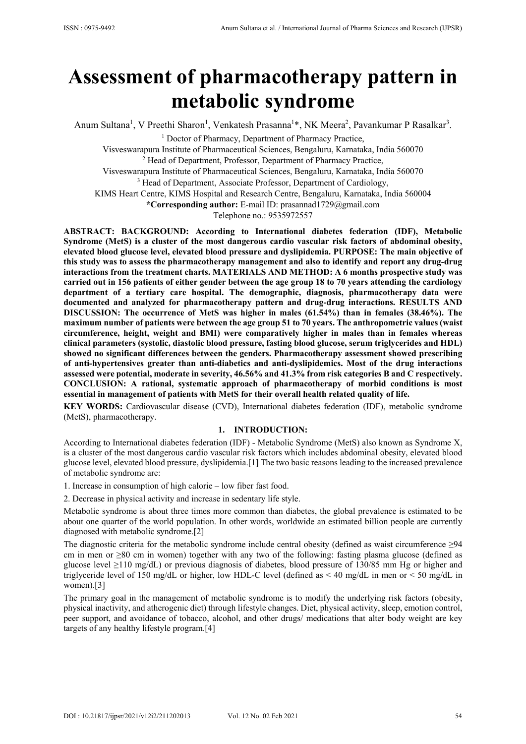# **Assessment of pharmacotherapy pattern in metabolic syndrome**

Anum Sultana<sup>1</sup>, V Preethi Sharon<sup>1</sup>, Venkatesh Prasanna<sup>1\*</sup>, NK Meera<sup>2</sup>, Pavankumar P Rasalkar<sup>3</sup>.

<sup>1</sup> Doctor of Pharmacy, Department of Pharmacy Practice,

Visveswarapura Institute of Pharmaceutical Sciences, Bengaluru, Karnataka, India 560070 2 <sup>2</sup> Head of Department, Professor, Department of Pharmacy Practice,

Visveswarapura Institute of Pharmaceutical Sciences, Bengaluru, Karnataka, India 560070 <sup>3</sup> Head of Department, Associate Professor, Department of Cardiology,

KIMS Heart Centre, KIMS Hospital and Research Centre, Bengaluru, Karnataka, India 560004

**\*Corresponding author:** E-mail ID: prasannad1729@gmail.com

Telephone no.: 9535972557

**ABSTRACT: BACKGROUND: According to International diabetes federation (IDF), Metabolic Syndrome (MetS) is a cluster of the most dangerous cardio vascular risk factors of abdominal obesity, elevated blood glucose level, elevated blood pressure and dyslipidemia. PURPOSE: The main objective of this study was to assess the pharmacotherapy management and also to identify and report any drug-drug interactions from the treatment charts. MATERIALS AND METHOD: A 6 months prospective study was carried out in 156 patients of either gender between the age group 18 to 70 years attending the cardiology department of a tertiary care hospital. The demographic, diagnosis, pharmacotherapy data were documented and analyzed for pharmacotherapy pattern and drug-drug interactions. RESULTS AND DISCUSSION: The occurrence of MetS was higher in males (61.54%) than in females (38.46%). The maximum number of patients were between the age group 51 to 70 years. The anthropometric values (waist circumference, height, weight and BMI) were comparatively higher in males than in females whereas clinical parameters (systolic, diastolic blood pressure, fasting blood glucose, serum triglycerides and HDL) showed no significant differences between the genders. Pharmacotherapy assessment showed prescribing of anti-hypertensives greater than anti-diabetics and anti-dyslipidemics. Most of the drug interactions assessed were potential, moderate in severity, 46.56% and 41.3% from risk categories B and C respectively. CONCLUSION: A rational, systematic approach of pharmacotherapy of morbid conditions is most essential in management of patients with MetS for their overall health related quality of life.** 

**KEY WORDS:** Cardiovascular disease (CVD), International diabetes federation (IDF), metabolic syndrome (MetS), pharmacotherapy.

## **1. INTRODUCTION:**

According to International diabetes federation (IDF) *-* Metabolic Syndrome (MetS) also known as Syndrome X, is a cluster of the most dangerous cardio vascular risk factors which includes abdominal obesity, elevated blood glucose level, elevated blood pressure, dyslipidemia.[1] The two basic reasons leading to the increased prevalence of metabolic syndrome are:

1. Increase in consumption of high calorie – low fiber fast food.

2. Decrease in physical activity and increase in sedentary life style.

Metabolic syndrome is about three times more common than diabetes, the global prevalence is estimated to be about one quarter of the world population. In other words, worldwide an estimated billion people are currently diagnosed with metabolic syndrome.[2]

The diagnostic criteria for the metabolic syndrome include central obesity (defined as waist circumference  $\geq$ 94 cm in men or ≥80 cm in women) together with any two of the following: fasting plasma glucose (defined as glucose level ≥110 mg/dL) or previous diagnosis of diabetes, blood pressure of 130/85 mm Hg or higher and triglyceride level of 150 mg/dL or higher, low HDL-C level (defined as < 40 mg/dL in men or < 50 mg/dL in women).[3]

The primary goal in the management of metabolic syndrome is to modify the underlying risk factors (obesity, physical inactivity, and atherogenic diet) through lifestyle changes. Diet, physical activity, sleep, emotion control, peer support, and avoidance of tobacco, alcohol, and other drugs/ medications that alter body weight are key targets of any healthy lifestyle program.[4]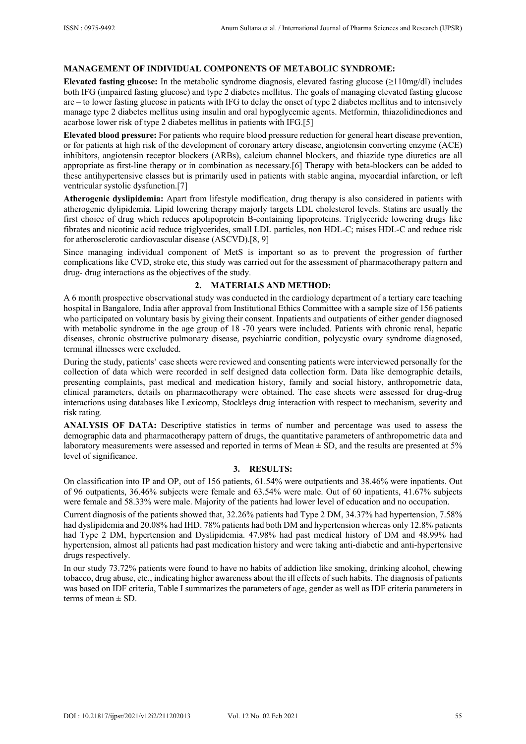# **MANAGEMENT OF INDIVIDUAL COMPONENTS OF METABOLIC SYNDROME:**

**Elevated fasting glucose:** In the metabolic syndrome diagnosis, elevated fasting glucose (≥110mg/dl) includes both IFG (impaired fasting glucose) and type 2 diabetes mellitus. The goals of managing elevated fasting glucose are – to lower fasting glucose in patients with IFG to delay the onset of type 2 diabetes mellitus and to intensively manage type 2 diabetes mellitus using insulin and oral hypoglycemic agents. Metformin, thiazolidinediones and acarbose lower risk of type 2 diabetes mellitus in patients with IFG.[5]

**Elevated blood pressure:** For patients who require blood pressure reduction for general heart disease prevention, or for patients at high risk of the development of coronary artery disease, angiotensin converting enzyme (ACE) inhibitors, angiotensin receptor blockers (ARBs), calcium channel blockers, and thiazide type diuretics are all appropriate as first-line therapy or in combination as necessary.[6] Therapy with beta-blockers can be added to these antihypertensive classes but is primarily used in patients with stable angina, myocardial infarction, or left ventricular systolic dysfunction.[7]

**Atherogenic dyslipidemia:** Apart from lifestyle modification, drug therapy is also considered in patients with atherogenic dylipidemia. Lipid lowering therapy majorly targets LDL cholesterol levels. Statins are usually the first choice of drug which reduces apolipoprotein B-containing lipoproteins. Triglyceride lowering drugs like fibrates and nicotinic acid reduce triglycerides, small LDL particles, non HDL-C; raises HDL-C and reduce risk for atherosclerotic cardiovascular disease (ASCVD).[8, 9]

Since managing individual component of MetS is important so as to prevent the progression of further complications like CVD, stroke etc, this study was carried out for the assessment of pharmacotherapy pattern and drug- drug interactions as the objectives of the study.

### **2. MATERIALS AND METHOD:**

A 6 month prospective observational study was conducted in the cardiology department of a tertiary care teaching hospital in Bangalore, India after approval from Institutional Ethics Committee with a sample size of 156 patients who participated on voluntary basis by giving their consent. Inpatients and outpatients of either gender diagnosed with metabolic syndrome in the age group of 18 -70 years were included. Patients with chronic renal, hepatic diseases, chronic obstructive pulmonary disease, psychiatric condition, polycystic ovary syndrome diagnosed, terminal illnesses were excluded.

During the study, patients' case sheets were reviewed and consenting patients were interviewed personally for the collection of data which were recorded in self designed data collection form. Data like demographic details, presenting complaints, past medical and medication history, family and social history, anthropometric data, clinical parameters, details on pharmacotherapy were obtained. The case sheets were assessed for drug-drug interactions using databases like Lexicomp, Stockleys drug interaction with respect to mechanism, severity and risk rating.

**ANALYSIS OF DATA:** Descriptive statistics in terms of number and percentage was used to assess the demographic data and pharmacotherapy pattern of drugs, the quantitative parameters of anthropometric data and laboratory measurements were assessed and reported in terms of Mean ± SD, and the results are presented at 5% level of significance.

# **3. RESULTS:**

On classification into IP and OP, out of 156 patients, 61.54% were outpatients and 38.46% were inpatients. Out of 96 outpatients, 36.46% subjects were female and 63.54% were male. Out of 60 inpatients, 41.67% subjects were female and 58.33% were male. Majority of the patients had lower level of education and no occupation.

Current diagnosis of the patients showed that, 32.26% patients had Type 2 DM, 34.37% had hypertension, 7.58% had dyslipidemia and 20.08% had IHD. 78% patients had both DM and hypertension whereas only 12.8% patients had Type 2 DM, hypertension and Dyslipidemia. 47.98% had past medical history of DM and 48.99% had hypertension, almost all patients had past medication history and were taking anti-diabetic and anti-hypertensive drugs respectively.

In our study 73.72% patients were found to have no habits of addiction like smoking, drinking alcohol, chewing tobacco, drug abuse, etc., indicating higher awareness about the ill effects of such habits. The diagnosis of patients was based on IDF criteria, Table I summarizes the parameters of age, gender as well as IDF criteria parameters in terms of mean  $\pm$  SD.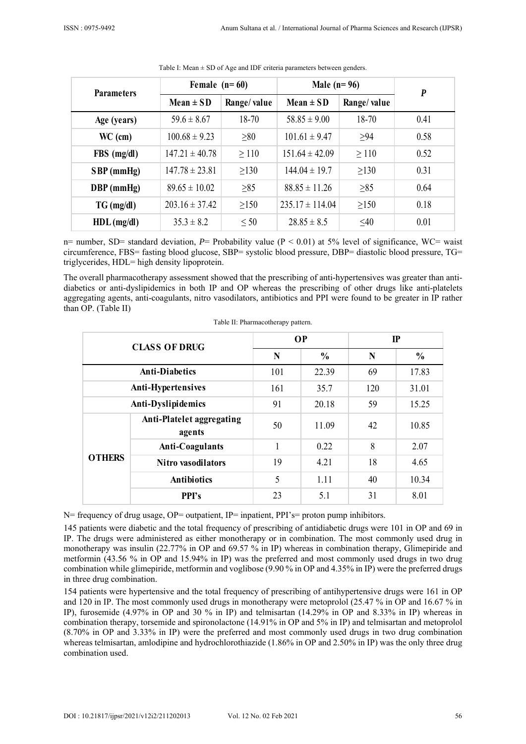| <b>Parameters</b> | Female $(n=60)$    |             | Male $(n=96)$       |             | $\boldsymbol{P}$ |
|-------------------|--------------------|-------------|---------------------|-------------|------------------|
|                   | $Mean \pm SD$      | Range/value | Mean $\pm$ SD       | Range/value |                  |
| Age (years)       | $59.6 \pm 8.67$    | 18-70       | $58.85 \pm 9.00$    | 18-70       | 0.41             |
| $WC$ (cm)         | $100.68 \pm 9.23$  | $\geq 80$   | $101.61 \pm 9.47$   | $>94$       | 0.58             |
| $FBS$ (mg/dl)     | $147.21 \pm 40.78$ | $\geq 110$  | $151.64 \pm 42.09$  | $\geq 110$  | 0.52             |
| $SBP$ (mmHg)      | $147.78 \pm 23.81$ | $\geq$ 130  | $144.04 \pm 19.7$   | $\geq$ 130  | 0.31             |
| $DBP$ (mmHg)      | $89.65 \pm 10.02$  | $\geq 85$   | $88.85 \pm 11.26$   | $\geq 85$   | 0.64             |
| $TG \, (mg/dl)$   | $203.16 \pm 37.42$ | $\geq$ 150  | $235.17 \pm 114.04$ | $\geq$ 150  | 0.18             |
| $HDL$ (mg/dl)     | $35.3 \pm 8.2$     | $\leq 50$   | $28.85 \pm 8.5$     | $\leq 40$   | 0.01             |

Table I: Mean  $\pm$  SD of Age and IDF criteria parameters between genders.

n= number, SD= standard deviation, *P*= Probability value (P ˂ 0.01) at 5% level of significance, WC= waist circumference, FBS= fasting blood glucose, SBP= systolic blood pressure, DBP= diastolic blood pressure, TG= triglycerides, HDL= high density lipoprotein.

The overall pharmacotherapy assessment showed that the prescribing of anti-hypertensives was greater than antidiabetics or anti-dyslipidemics in both IP and OP whereas the prescribing of other drugs like anti-platelets aggregating agents, anti-coagulants, nitro vasodilators, antibiotics and PPI were found to be greater in IP rather than OP. (Table II)

| <b>CLASS OF DRUG</b>  |                                     | <b>OP</b> |               | $\mathbf{I}$ |               |
|-----------------------|-------------------------------------|-----------|---------------|--------------|---------------|
|                       |                                     | N         | $\frac{0}{0}$ | N            | $\frac{0}{0}$ |
| <b>Anti-Diabetics</b> |                                     | 101       | 22.39         | 69           | 17.83         |
| Anti-Hypertensives    |                                     | 161       | 35.7          | 120          | 31.01         |
| Anti-Dyslipidemics    |                                     | 91        | 20.18         | 59           | 15.25         |
| <b>OTHERS</b>         | Anti-Platelet aggregating<br>agents | 50        | 11.09         | 42           | 10.85         |
|                       | <b>Anti-Coagulants</b>              | 1         | 0.22          | 8            | 2.07          |
|                       | <b>Nitro vasodilators</b>           | 19        | 4.21          | 18           | 4.65          |
|                       | <b>Antibiotics</b>                  | 5         | 1.11          | 40           | 10.34         |
|                       | <b>PPI's</b>                        | 23        | 5.1           | 31           | 8.01          |

Table II: Pharmacotherapy pattern.

N= frequency of drug usage, OP= outpatient, IP= inpatient, PPI's= proton pump inhibitors.

145 patients were diabetic and the total frequency of prescribing of antidiabetic drugs were 101 in OP and 69 in IP. The drugs were administered as either monotherapy or in combination. The most commonly used drug in monotherapy was insulin (22.77% in OP and 69.57 % in IP) whereas in combination therapy, Glimepiride and metformin (43.56 % in OP and 15.94% in IP) was the preferred and most commonly used drugs in two drug combination while glimepiride, metformin and voglibose (9.90 % in OP and 4.35% in IP) were the preferred drugs in three drug combination.

154 patients were hypertensive and the total frequency of prescribing of antihypertensive drugs were 161 in OP and 120 in IP. The most commonly used drugs in monotherapy were metoprolol (25.47 % in OP and 16.67 % in IP), furosemide (4.97% in OP and 30 % in IP) and telmisartan (14.29% in OP and 8.33% in IP) whereas in combination therapy, torsemide and spironolactone (14.91% in OP and 5% in IP) and telmisartan and metoprolol (8.70% in OP and 3.33% in IP) were the preferred and most commonly used drugs in two drug combination whereas telmisartan, amlodipine and hydrochlorothiazide (1.86% in OP and 2.50% in IP) was the only three drug combination used.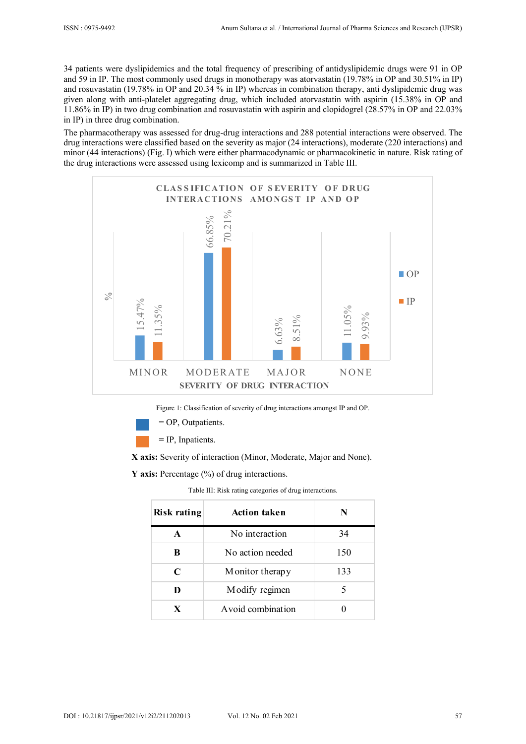34 patients were dyslipidemics and the total frequency of prescribing of antidyslipidemic drugs were 91 in OP and 59 in IP. The most commonly used drugs in monotherapy was atorvastatin (19.78% in OP and 30.51% in IP) and rosuvastatin (19.78% in OP and 20.34 % in IP) whereas in combination therapy, anti dyslipidemic drug was given along with anti-platelet aggregating drug, which included atorvastatin with aspirin (15.38% in OP and 11.86% in IP) in two drug combination and rosuvastatin with aspirin and clopidogrel (28.57% in OP and 22.03% in IP) in three drug combination.

The pharmacotherapy was assessed for drug-drug interactions and 288 potential interactions were observed. The drug interactions were classified based on the severity as major (24 interactions), moderate (220 interactions) and minor (44 interactions) (Fig. I) which were either pharmacodynamic or pharmacokinetic in nature. Risk rating of the drug interactions were assessed using lexicomp and is summarized in Table III.



Figure 1: Classification of severity of drug interactions amongst IP and OP.

= OP, Outpatients.

 **=** IP, Inpatients.

 **X axis:** Severity of interaction (Minor, Moderate, Major and None).

**Y axis:** Percentage (%) of drug interactions.

Table III: Risk rating categories of drug interactions.

| <b>Risk rating</b> | <b>Action taken</b> | N   |
|--------------------|---------------------|-----|
| A                  | No interaction      | 34  |
| B                  | No action needed    | 150 |
| C                  | Monitor therapy     | 133 |
| D                  | Modify regimen      | 5   |
|                    | A void combination  |     |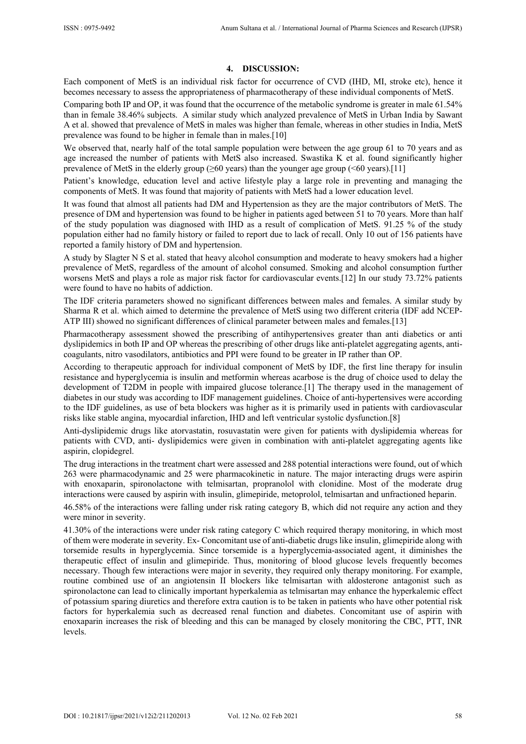#### **4. DISCUSSION:**

Each component of MetS is an individual risk factor for occurrence of CVD (IHD, MI, stroke etc), hence it becomes necessary to assess the appropriateness of pharmacotherapy of these individual components of MetS.

Comparing both IP and OP, it was found that the occurrence of the metabolic syndrome is greater in male 61.54% than in female 38.46% subjects. A similar study which analyzed prevalence of MetS in Urban India by Sawant A et al. showed that prevalence of MetS in males was higher than female, whereas in other studies in India, MetS prevalence was found to be higher in female than in males.[10]

We observed that, nearly half of the total sample population were between the age group 61 to 70 years and as age increased the number of patients with MetS also increased. Swastika K et al. found significantly higher prevalence of MetS in the elderly group ( $\geq 60$  years) than the younger age group ( $\leq 60$  years).[11]

Patient's knowledge, education level and active lifestyle play a large role in preventing and managing the components of MetS. It was found that majority of patients with MetS had a lower education level.

It was found that almost all patients had DM and Hypertension as they are the major contributors of MetS. The presence of DM and hypertension was found to be higher in patients aged between 51 to 70 years. More than half of the study population was diagnosed with IHD as a result of complication of MetS. 91.25 % of the study population either had no family history or failed to report due to lack of recall. Only 10 out of 156 patients have reported a family history of DM and hypertension.

A study by Slagter N S et al. stated that heavy alcohol consumption and moderate to heavy smokers had a higher prevalence of MetS, regardless of the amount of alcohol consumed. Smoking and alcohol consumption further worsens MetS and plays a role as major risk factor for cardiovascular events.[12] In our study 73.72% patients were found to have no habits of addiction.

The IDF criteria parameters showed no significant differences between males and females. A similar study by Sharma R et al. which aimed to determine the prevalence of MetS using two different criteria (IDF add NCEP-ATP III) showed no significant differences of clinical parameter between males and females.[13]

Pharmacotherapy assessment showed the prescribing of antihypertensives greater than anti diabetics or anti dyslipidemics in both IP and OP whereas the prescribing of other drugs like anti-platelet aggregating agents, anticoagulants, nitro vasodilators, antibiotics and PPI were found to be greater in IP rather than OP.

According to therapeutic approach for individual component of MetS by IDF, the first line therapy for insulin resistance and hyperglycemia is insulin and metformin whereas acarbose is the drug of choice used to delay the development of T2DM in people with impaired glucose tolerance.[1] The therapy used in the management of diabetes in our study was according to IDF management guidelines. Choice of anti-hypertensives were according to the IDF guidelines, as use of beta blockers was higher as it is primarily used in patients with cardiovascular risks like stable angina, myocardial infarction, IHD and left ventricular systolic dysfunction.[8]

Anti-dyslipidemic drugs like atorvastatin, rosuvastatin were given for patients with dyslipidemia whereas for patients with CVD, anti- dyslipidemics were given in combination with anti-platelet aggregating agents like aspirin, clopidegrel.

The drug interactions in the treatment chart were assessed and 288 potential interactions were found, out of which 263 were pharmacodynamic and 25 were pharmacokinetic in nature. The major interacting drugs were aspirin with enoxaparin, spironolactone with telmisartan, propranolol with clonidine. Most of the moderate drug interactions were caused by aspirin with insulin, glimepiride, metoprolol, telmisartan and unfractioned heparin.

46.58% of the interactions were falling under risk rating category B, which did not require any action and they were minor in severity.

41.30% of the interactions were under risk rating category C which required therapy monitoring, in which most of them were moderate in severity. Ex- Concomitant use of anti-diabetic drugs like insulin, glimepiride along with torsemide results in hyperglycemia. Since torsemide is a hyperglycemia-associated agent, it diminishes the therapeutic effect of insulin and glimepiride. Thus, monitoring of blood glucose levels frequently becomes necessary. Though few interactions were major in severity, they required only therapy monitoring. For example, routine combined use of an angiotensin II blockers like telmisartan with aldosterone antagonist such as spironolactone can lead to clinically important hyperkalemia as telmisartan may enhance the hyperkalemic effect of potassium sparing diuretics and therefore extra caution is to be taken in patients who have other potential risk factors for hyperkalemia such as decreased renal function and diabetes. Concomitant use of aspirin with enoxaparin increases the risk of bleeding and this can be managed by closely monitoring the CBC, PTT, INR levels.